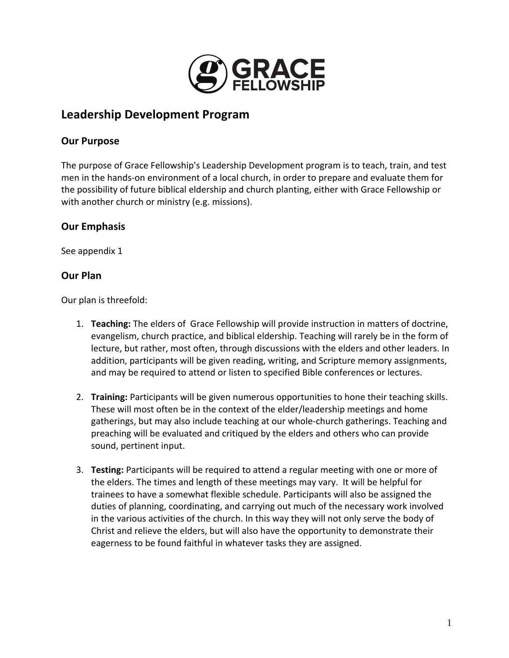

# **Leadership Development Program**

## **Our Purpose**

The purpose of Grace Fellowship's Leadership Development program is to teach, train, and test men in the hands-on environment of a local church, in order to prepare and evaluate them for the possibility of future biblical eldership and church planting, either with Grace Fellowship or with another church or ministry (e.g. missions).

# **Our Emphasis**

See appendix 1

## **Our Plan**

Our plan is threefold:

- 1. **Teaching:** The elders of Grace Fellowship will provide instruction in matters of doctrine, evangelism, church practice, and biblical eldership. Teaching will rarely be in the form of lecture, but rather, most often, through discussions with the elders and other leaders. In addition, participants will be given reading, writing, and Scripture memory assignments, and may be required to attend or listen to specified Bible conferences or lectures.
- 2. Training: Participants will be given numerous opportunities to hone their teaching skills. These will most often be in the context of the elder/leadership meetings and home gatherings, but may also include teaching at our whole-church gatherings. Teaching and preaching will be evaluated and critiqued by the elders and others who can provide sound, pertinent input.
- 3. **Testing:** Participants will be required to attend a regular meeting with one or more of the elders. The times and length of these meetings may vary. It will be helpful for trainees to have a somewhat flexible schedule. Participants will also be assigned the duties of planning, coordinating, and carrying out much of the necessary work involved in the various activities of the church. In this way they will not only serve the body of Christ and relieve the elders, but will also have the opportunity to demonstrate their eagerness to be found faithful in whatever tasks they are assigned.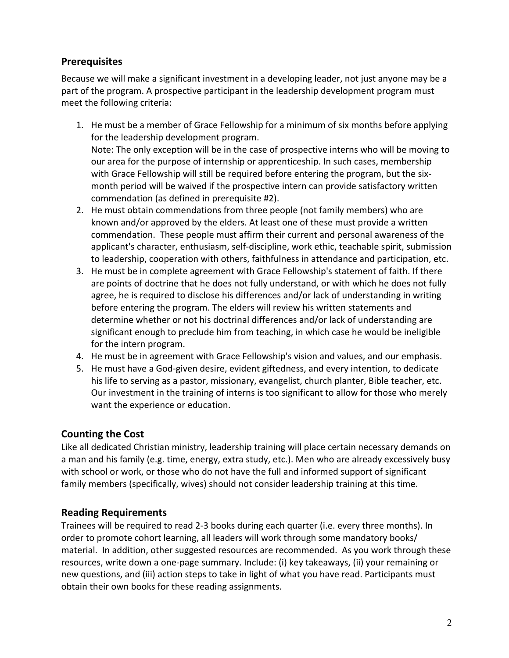# **Prerequisites**

Because we will make a significant investment in a developing leader, not just anyone may be a part of the program. A prospective participant in the leadership development program must meet the following criteria:

- 1. He must be a member of Grace Fellowship for a minimum of six months before applying for the leadership development program. Note: The only exception will be in the case of prospective interns who will be moving to our area for the purpose of internship or apprenticeship. In such cases, membership with Grace Fellowship will still be required before entering the program, but the sixmonth period will be waived if the prospective intern can provide satisfactory written commendation (as defined in prerequisite #2).
- 2. He must obtain commendations from three people (not family members) who are known and/or approved by the elders. At least one of these must provide a written commendation. These people must affirm their current and personal awareness of the applicant's character, enthusiasm, self-discipline, work ethic, teachable spirit, submission to leadership, cooperation with others, faithfulness in attendance and participation, etc.
- 3. He must be in complete agreement with Grace Fellowship's statement of faith. If there are points of doctrine that he does not fully understand, or with which he does not fully agree, he is required to disclose his differences and/or lack of understanding in writing before entering the program. The elders will review his written statements and determine whether or not his doctrinal differences and/or lack of understanding are significant enough to preclude him from teaching, in which case he would be ineligible for the intern program.
- 4. He must be in agreement with Grace Fellowship's vision and values, and our emphasis.
- 5. He must have a God-given desire, evident giftedness, and every intention, to dedicate his life to serving as a pastor, missionary, evangelist, church planter, Bible teacher, etc. Our investment in the training of interns is too significant to allow for those who merely want the experience or education.

# **Counting the Cost**

Like all dedicated Christian ministry, leadership training will place certain necessary demands on a man and his family (e.g. time, energy, extra study, etc.). Men who are already excessively busy with school or work, or those who do not have the full and informed support of significant family members (specifically, wives) should not consider leadership training at this time.

# **Reading Requirements**

Trainees will be required to read 2-3 books during each quarter (i.e. every three months). In order to promote cohort learning, all leaders will work through some mandatory books/ material. In addition, other suggested resources are recommended. As you work through these resources, write down a one-page summary. Include: (i) key takeaways, (ii) your remaining or new questions, and (iii) action steps to take in light of what you have read. Participants must obtain their own books for these reading assignments.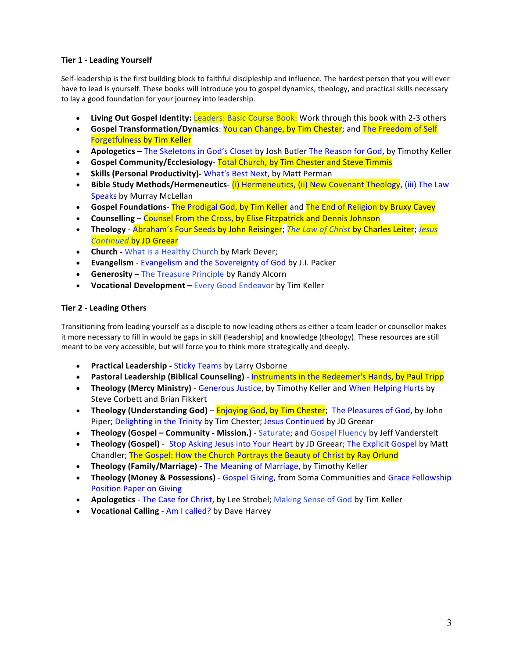### **Tier 1 - Leading Yourself**

Self-leadership is the first building block to faithful discipleship and influence. The hardest person that you will ever have to lead is yourself. These books will introduce you to gospel dynamics, theology, and practical skills necessary to lay a good foundation for your journey into leadership.

- **Living Out Gospel Identity:** Leaders: Basic Course Book: Work through this book with 2-3 others
- **Gospel Transformation/Dynamics**: You can Change, by Tim Chester; and The Freedom of Self **Forgetfulness by Tim Keller**
- **Apologetics** The Skeletons in God's Closet by Josh Butler The Reason for God, by Timothy Keller
- **Gospel Community/Ecclesiology** Total Church, by Tim Chester and Steve Timmis
- Skills (Personal Productivity)- What's Best Next, by Matt Perman
- **Bible Study Methods/Hermeneutics-** (i) Hermeneutics, (ii) New Covenant Theology, (iii) The Law Speaks by Murray McLellan
- **Gospel Foundations** The Prodigal God, by Tim Keller and The End of Religion by Bruxy Cavey
- **Counselling** Counsel From the Cross, by Elise Fitzpatrick and Dennis Johnson
- **Theology** Abraham's Four Seeds by John Reisinger; *The Law of Christ* by Charles Leiter; *Jesus Continued by JD Greear*
- **Church** What is a Healthy Church by Mark Dever;
- **Evangelism** Evangelism and the Sovereignty of God by J.I. Packer
- **Generosity** The Treasure Principle by Randy Alcorn
- Vocational Development Every Good Endeavor by Tim Keller

### **Tier 2 - Leading Others**

Transitioning from leading yourself as a disciple to now leading others as either a team leader or counsellor makes it more necessary to fill in would be gaps in skill (leadership) and knowledge (theology). These resources are still meant to be very accessible, but will force you to think more strategically and deeply.

- **Practical Leadership Sticky Teams** by Larry Osborne
- Pastoral Leadership (Biblical Counseling) Instruments in the Redeemer's Hands, by Paul Tripp
- **Theology (Mercy Ministry)** Generous Justice, by Timothy Keller and When Helping Hurts by Steve Corbett and Brian Fikkert
- **Theology (Understanding God)** Enjoying God, by Tim Chester; The Pleasures of God, by John Piper; Delighting in the Trinity by Tim Chester; Jesus Continued by JD Greear
- **Theology (Gospel Community Mission.)** Saturate; and Gospel Fluency by Jeff Vanderstelt
- **Theology (Gospel)** Stop Asking Jesus into Your Heart by JD Greear; The Explicit Gospel by Matt Chandler; The Gospel: How the Church Portrays the Beauty of Christ by Ray Orlund
- Theology (Family/Marriage) The Meaning of Marriage, by Timothy Keller
- Theology (Money & Possessions) Gospel Giving, from Soma Communities and Grace Fellowship Position Paper on Giving
- **Apologetics** The Case for Christ, by Lee Strobel; Making Sense of God by Tim Keller
- **Vocational Calling** Am I called? by Dave Harvey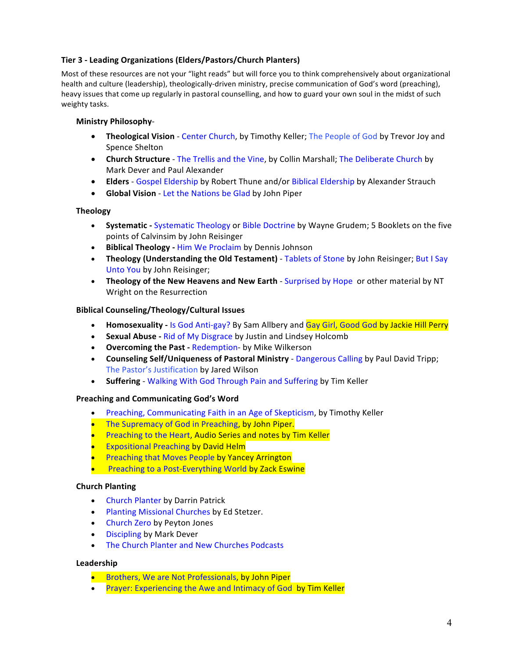### **Tier 3 - Leading Organizations (Elders/Pastors/Church Planters)**

Most of these resources are not your "light reads" but will force you to think comprehensively about organizational health and culture (leadership), theologically-driven ministry, precise communication of God's word (preaching), heavy issues that come up regularly in pastoral counselling, and how to guard your own soul in the midst of such weighty tasks.

### **Ministry Philosophy**-

- **Theological Vision** Center Church, by Timothy Keller; The People of God by Trevor Joy and Spence Shelton
- **Church Structure** The Trellis and the Vine, by Collin Marshall; The Deliberate Church by Mark Dever and Paul Alexander
- **Elders** Gospel Eldership by Robert Thune and/or Biblical Eldership by Alexander Strauch
- **Global Vision** Let the Nations be Glad by John Piper

### **Theology**

- Systematic Systematic Theology or Bible Doctrine by Wayne Grudem; 5 Booklets on the five points of Calvinsim by John Reisinger
- **•** Biblical Theology Him We Proclaim by Dennis Johnson
- **Theology (Understanding the Old Testament)** Tablets of Stone by John Reisinger; But I Say Unto You by John Reisinger;
- Theology of the New Heavens and New Earth Surprised by Hope or other material by NT Wright on the Resurrection

### **Biblical Counseling/Theology/Cultural Issues**

- **Homosexuality** Is God Anti-gay? By Sam Allbery and **Gay Girl, Good God by Jackie Hill Perry**
- **Sexual Abuse** Rid of My Disgrace by Justin and Lindsey Holcomb
- **Overcoming the Past Redemption- by Mike Wilkerson**
- **Counseling Self/Uniqueness of Pastoral Ministry** Dangerous Calling by Paul David Tripp; The Pastor's Justification by Jared Wilson
- **Suffering** Walking With God Through Pain and Suffering by Tim Keller

#### **Preaching and Communicating God's Word**

- Preaching, Communicating Faith in an Age of Skepticism, by Timothy Keller
- The Supremacy of God in Preaching, by John Piper.
- Preaching to the Heart, Audio Series and notes by Tim Keller
- **Expositional Preaching by David Helm**
- Preaching that Moves People by Yancey Arrington
- Preaching to a Post-Everything World by Zack Eswine

#### **Church Planting**

- Church Planter by Darrin Patrick
- Planting Missional Churches by Ed Stetzer.
- Church Zero by Peyton Jones
- Discipling by Mark Dever
- The Church Planter and New Churches Podcasts

#### **Leadership**

- Brothers, We are Not Professionals, by John Piper
- Prayer: Experiencing the Awe and Intimacy of God by Tim Keller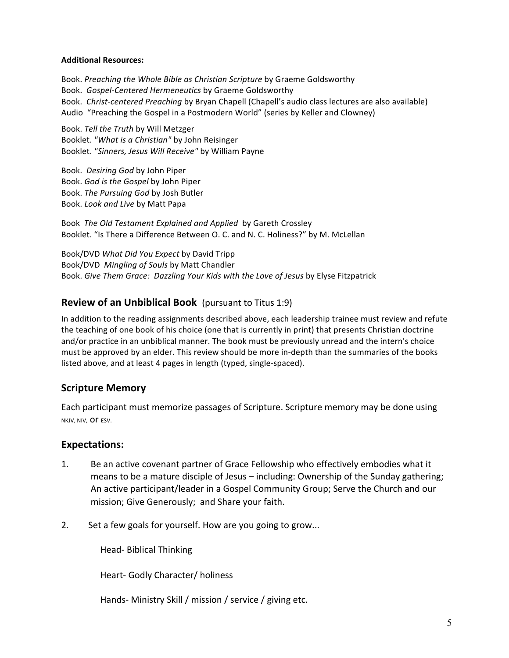### **Additional Resources:**

Book. Preaching the Whole Bible as Christian Scripture by Graeme Goldsworthy Book. *Gospel-Centered Hermeneutics* by Graeme Goldsworthy Book. *Christ-centered Preaching* by Bryan Chapell (Chapell's audio class lectures are also available) Audio "Preaching the Gospel in a Postmodern World" (series by Keller and Clowney)

Book. *Tell the Truth* by Will Metzger Booklet. "What is a Christian" by John Reisinger Booklet. "Sinners, Jesus Will Receive" by William Payne

Book. *Desiring God* by John Piper Book. *God is the Gospel* by John Piper Book. The Pursuing God by Josh Butler Book. *Look and Live by Matt Papa* 

Book The Old Testament Explained and Applied by Gareth Crossley Booklet. "Is There a Difference Between O. C. and N. C. Holiness?" by M. McLellan

Book/DVD *What Did You Expect* by David Tripp Book/DVD *Mingling of Souls* by Matt Chandler Book. Give Them Grace: Dazzling Your Kids with the Love of Jesus by Elyse Fitzpatrick

## **Review of an Unbiblical Book** (pursuant to Titus 1:9)

In addition to the reading assignments described above, each leadership trainee must review and refute the teaching of one book of his choice (one that is currently in print) that presents Christian doctrine and/or practice in an unbiblical manner. The book must be previously unread and the intern's choice must be approved by an elder. This review should be more in-depth than the summaries of the books listed above, and at least 4 pages in length (typed, single-spaced).

## **Scripture Memory**

Each participant must memorize passages of Scripture. Scripture memory may be done using NKJV, NIV, OT ESV.

## **Expectations:**

- 1. Be an active covenant partner of Grace Fellowship who effectively embodies what it means to be a mature disciple of Jesus  $-$  including: Ownership of the Sunday gathering; An active participant/leader in a Gospel Community Group; Serve the Church and our mission; Give Generously; and Share your faith.
- 2. Set a few goals for yourself. How are you going to grow...

Head- Biblical Thinking 

Heart- Godly Character/ holiness

Hands- Ministry Skill / mission / service / giving etc.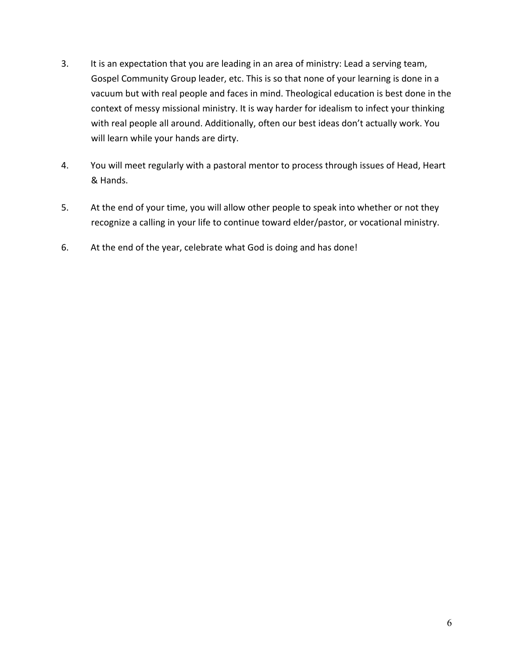- 3. It is an expectation that you are leading in an area of ministry: Lead a serving team, Gospel Community Group leader, etc. This is so that none of your learning is done in a vacuum but with real people and faces in mind. Theological education is best done in the context of messy missional ministry. It is way harder for idealism to infect your thinking with real people all around. Additionally, often our best ideas don't actually work. You will learn while your hands are dirty.
- 4. You will meet regularly with a pastoral mentor to process through issues of Head, Heart & Hands.
- 5. At the end of your time, you will allow other people to speak into whether or not they recognize a calling in your life to continue toward elder/pastor, or vocational ministry.
- 6. At the end of the year, celebrate what God is doing and has done!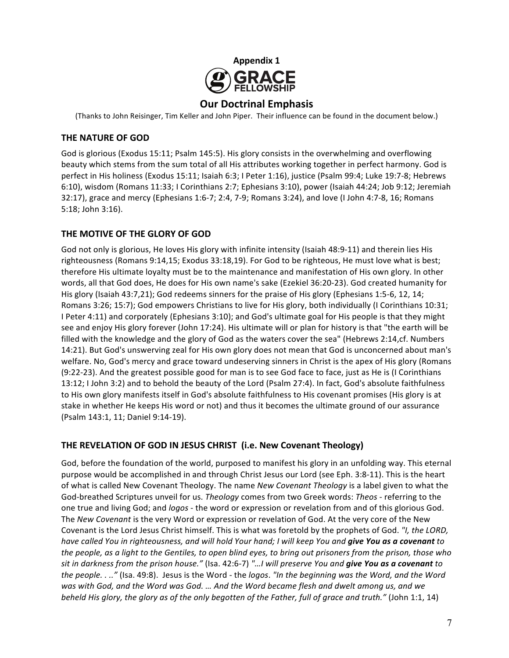

**Our Doctrinal Emphasis**

(Thanks to John Reisinger, Tim Keller and John Piper. Their influence can be found in the document below.)

## **THE NATURE OF GOD**

God is glorious (Exodus 15:11; Psalm 145:5). His glory consists in the overwhelming and overflowing beauty which stems from the sum total of all His attributes working together in perfect harmony. God is perfect in His holiness (Exodus 15:11; Isaiah 6:3; I Peter 1:16), justice (Psalm 99:4; Luke 19:7-8; Hebrews 6:10), wisdom (Romans 11:33; I Corinthians 2:7; Ephesians 3:10), power (Isaiah 44:24; Job 9:12; Jeremiah 32:17), grace and mercy (Ephesians 1:6-7; 2:4, 7-9; Romans 3:24), and love (I John 4:7-8, 16; Romans 5:18; John 3:16).

## THE MOTIVE OF THE GLORY OF GOD

God not only is glorious, He loves His glory with infinite intensity (Isaiah 48:9-11) and therein lies His righteousness (Romans 9:14,15; Exodus 33:18,19). For God to be righteous, He must love what is best; therefore His ultimate loyalty must be to the maintenance and manifestation of His own glory. In other words, all that God does, He does for His own name's sake (Ezekiel 36:20-23). God created humanity for His glory (Isaiah 43:7,21); God redeems sinners for the praise of His glory (Ephesians 1:5-6, 12, 14; Romans 3:26; 15:7); God empowers Christians to live for His glory, both individually (I Corinthians 10:31; I Peter 4:11) and corporately (Ephesians 3:10); and God's ultimate goal for His people is that they might see and enjoy His glory forever (John 17:24). His ultimate will or plan for history is that "the earth will be filled with the knowledge and the glory of God as the waters cover the sea" (Hebrews 2:14,cf. Numbers 14:21). But God's unswerving zeal for His own glory does not mean that God is unconcerned about man's welfare. No, God's mercy and grace toward undeserving sinners in Christ is the apex of His glory (Romans (9:22-23). And the greatest possible good for man is to see God face to face, just as He is (I Corinthians 13:12; I John 3:2) and to behold the beauty of the Lord (Psalm 27:4). In fact, God's absolute faithfulness to His own glory manifests itself in God's absolute faithfulness to His covenant promises (His glory is at stake in whether He keeps His word or not) and thus it becomes the ultimate ground of our assurance (Psalm 143:1, 11; Daniel 9:14-19).

## **THE REVELATION OF GOD IN JESUS CHRIST (i.e. New Covenant Theology)**

God, before the foundation of the world, purposed to manifest his glory in an unfolding way. This eternal purpose would be accomplished in and through Christ Jesus our Lord (see Eph. 3:8-11). This is the heart of what is called New Covenant Theology. The name *New Covenant Theology* is a label given to what the God-breathed Scriptures unveil for us. *Theology* comes from two Greek words: *Theos* - referring to the one true and living God; and *logos* - the word or expression or revelation from and of this glorious God. The *New Covenant* is the very Word or expression or revelation of God. At the very core of the New Covenant is the Lord Jesus Christ himself. This is what was foretold by the prophets of God. "I, the LORD, *have called You in righteousness, and will hold Your hand; I will keep You and give You as a covenant to the people, as a light to the Gentiles, to open blind eyes, to bring out prisoners from the prison, those who* sit in darkness from the prison house." (Isa. 42:6-7) "...I will preserve You and give You as a covenant to *the people.* . .." (Isa. 49:8). Jesus is the Word - the logos. "In the beginning was the Word, and the Word was with God, and the Word was God. ... And the Word became flesh and dwelt among us, and we *beheld His glory, the glory as of the only begotten of the Father, full of grace and truth."* (John 1:1, 14)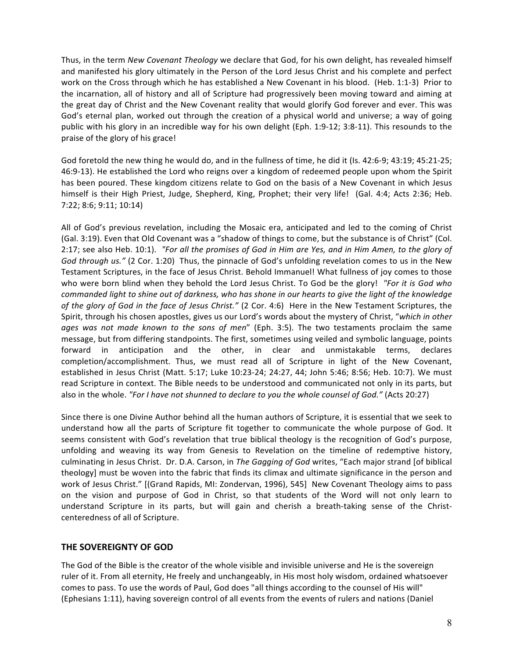Thus, in the term *New Covenant Theology* we declare that God, for his own delight, has revealed himself and manifested his glory ultimately in the Person of the Lord Jesus Christ and his complete and perfect work on the Cross through which he has established a New Covenant in his blood. (Heb. 1:1-3) Prior to the incarnation, all of history and all of Scripture had progressively been moving toward and aiming at the great day of Christ and the New Covenant reality that would glorify God forever and ever. This was God's eternal plan, worked out through the creation of a physical world and universe; a way of going public with his glory in an incredible way for his own delight (Eph. 1:9-12; 3:8-11). This resounds to the praise of the glory of his grace!

God foretold the new thing he would do, and in the fullness of time, he did it (Is. 42:6-9; 43:19; 45:21-25; 46:9-13). He established the Lord who reigns over a kingdom of redeemed people upon whom the Spirit has been poured. These kingdom citizens relate to God on the basis of a New Covenant in which Jesus himself is their High Priest, Judge, Shepherd, King, Prophet; their very life! (Gal. 4:4; Acts 2:36; Heb. 7:22; 8:6; 9:11; 10:14)

All of God's previous revelation, including the Mosaic era, anticipated and led to the coming of Christ (Gal. 3:19). Even that Old Covenant was a "shadow of things to come, but the substance is of Christ" (Col. 2:17; see also Heb. 10:1). *"For all the promises of God in Him are Yes, and in Him Amen, to the glory of God through us."* (2 Cor. 1:20) Thus, the pinnacle of God's unfolding revelation comes to us in the New Testament Scriptures, in the face of Jesus Christ. Behold Immanuel! What fullness of joy comes to those who were born blind when they behold the Lord Jesus Christ. To God be the glory! *"For it is God who commanded light to shine out of darkness, who has shone in our hearts to give the light of the knowledge* of the glory of God in the face of Jesus Christ." (2 Cor. 4:6) Here in the New Testament Scriptures, the Spirit, through his chosen apostles, gives us our Lord's words about the mystery of Christ, "which in other ages was not made known to the sons of men" (Eph. 3:5). The two testaments proclaim the same message, but from differing standpoints. The first, sometimes using veiled and symbolic language, points forward in anticipation and the other, in clear and unmistakable terms, declares completion/accomplishment. Thus, we must read all of Scripture in light of the New Covenant, established in Jesus Christ (Matt. 5:17; Luke 10:23-24; 24:27, 44; John 5:46; 8:56; Heb. 10:7). We must read Scripture in context. The Bible needs to be understood and communicated not only in its parts, but also in the whole. "For I have not shunned to declare to you the whole counsel of God." (Acts 20:27)

Since there is one Divine Author behind all the human authors of Scripture, it is essential that we seek to understand how all the parts of Scripture fit together to communicate the whole purpose of God. It seems consistent with God's revelation that true biblical theology is the recognition of God's purpose, unfolding and weaving its way from Genesis to Revelation on the timeline of redemptive history, culminating in Jesus Christ. Dr. D.A. Carson, in The Gagging of God writes, "Each major strand [of biblical theology] must be woven into the fabric that finds its climax and ultimate significance in the person and work of Jesus Christ." [(Grand Rapids, MI: Zondervan, 1996), 545] New Covenant Theology aims to pass on the vision and purpose of God in Christ, so that students of the Word will not only learn to understand Scripture in its parts, but will gain and cherish a breath-taking sense of the Christcenteredness of all of Scripture.

## **THE SOVEREIGNTY OF GOD**

The God of the Bible is the creator of the whole visible and invisible universe and He is the sovereign ruler of it. From all eternity, He freely and unchangeably, in His most holy wisdom, ordained whatsoever comes to pass. To use the words of Paul, God does "all things according to the counsel of His will" (Ephesians 1:11), having sovereign control of all events from the events of rulers and nations (Daniel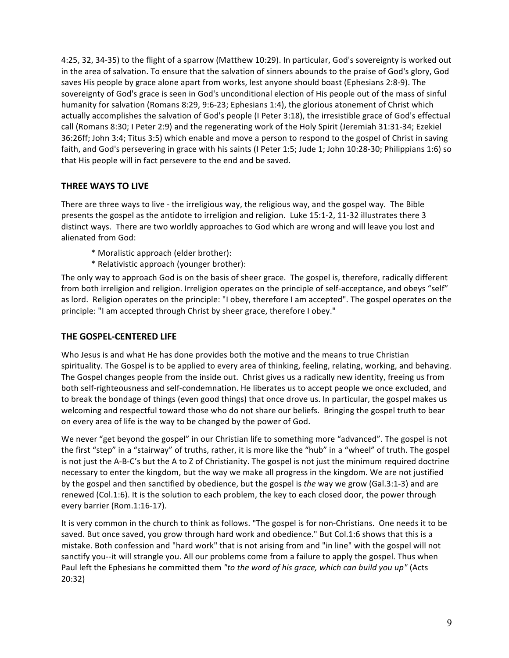4:25, 32, 34-35) to the flight of a sparrow (Matthew 10:29). In particular, God's sovereignty is worked out in the area of salvation. To ensure that the salvation of sinners abounds to the praise of God's glory, God saves His people by grace alone apart from works, lest anyone should boast (Ephesians 2:8-9). The sovereignty of God's grace is seen in God's unconditional election of His people out of the mass of sinful humanity for salvation (Romans 8:29, 9:6-23; Ephesians 1:4), the glorious atonement of Christ which actually accomplishes the salvation of God's people (I Peter 3:18), the irresistible grace of God's effectual call (Romans 8:30; I Peter 2:9) and the regenerating work of the Holy Spirit (Jeremiah 31:31-34; Ezekiel 36:26ff; John 3:4; Titus 3:5) which enable and move a person to respond to the gospel of Christ in saving faith, and God's persevering in grace with his saints (I Peter 1:5; Jude 1; John 10:28-30; Philippians 1:6) so that His people will in fact persevere to the end and be saved.

## **THREE WAYS TO LIVE**

There are three ways to live - the irreligious way, the religious way, and the gospel way. The Bible presents the gospel as the antidote to irreligion and religion. Luke 15:1-2, 11-32 illustrates there 3 distinct ways. There are two worldly approaches to God which are wrong and will leave you lost and alienated from God:

- \* Moralistic approach (elder brother):
- \* Relativistic approach (younger brother):

The only way to approach God is on the basis of sheer grace. The gospel is, therefore, radically different from both irreligion and religion. Irreligion operates on the principle of self-acceptance, and obeys "self" as lord. Religion operates on the principle: "I obey, therefore I am accepted". The gospel operates on the principle: "I am accepted through Christ by sheer grace, therefore I obey."

## **THE GOSPEL-CENTERED LIFE**

Who Jesus is and what He has done provides both the motive and the means to true Christian spirituality. The Gospel is to be applied to every area of thinking, feeling, relating, working, and behaving. The Gospel changes people from the inside out. Christ gives us a radically new identity, freeing us from both self-righteousness and self-condemnation. He liberates us to accept people we once excluded, and to break the bondage of things (even good things) that once drove us. In particular, the gospel makes us welcoming and respectful toward those who do not share our beliefs. Bringing the gospel truth to bear on every area of life is the way to be changed by the power of God.

We never "get beyond the gospel" in our Christian life to something more "advanced". The gospel is not the first "step" in a "stairway" of truths, rather, it is more like the "hub" in a "wheel" of truth. The gospel is not just the A-B-C's but the A to Z of Christianity. The gospel is not just the minimum required doctrine necessary to enter the kingdom, but the way we make all progress in the kingdom. We are not justified by the gospel and then sanctified by obedience, but the gospel is the way we grow (Gal.3:1-3) and are renewed (Col.1:6). It is the solution to each problem, the key to each closed door, the power through every barrier (Rom.1:16-17).

It is very common in the church to think as follows. "The gospel is for non-Christians. One needs it to be saved. But once saved, you grow through hard work and obedience." But Col.1:6 shows that this is a mistake. Both confession and "hard work" that is not arising from and "in line" with the gospel will not sanctify you--it will strangle you. All our problems come from a failure to apply the gospel. Thus when Paul left the Ephesians he committed them "to the word of his grace, which can build you up" (Acts 20:32)